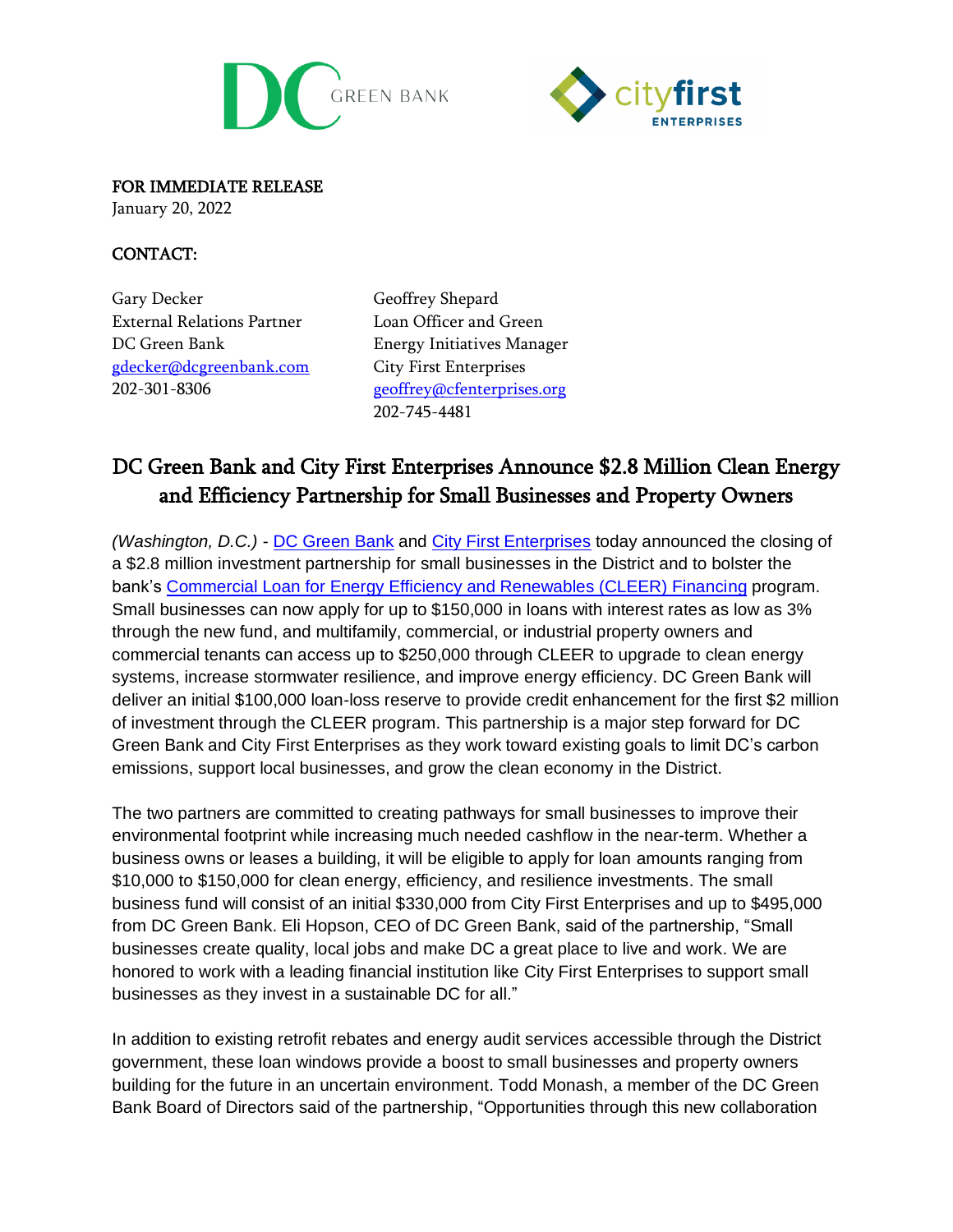



FOR IMMEDIATE RELEASE

January 20, 2022

## CONTACT:

Gary Decker External Relations Partner DC Green Bank [gdecker@dcgreenbank.com](mailto:gdecker@dcgreenbank.com) 202-301-8306

Geoffrey Shepard Loan Officer and Green Energy Initiatives Manager City First Enterprises [geoffrey@cfenterprises.org](mailto:geoffrey@cfenterprises.org) 202-745-4481

## DC Green Bank and City First Enterprises Announce \$2.8 Million Clean Energy and Efficiency Partnership for Small Businesses and Property Owners

*(Washington, D.C.)* - [DC Green Bank](https://dcgreenbank.com/) and [City First Enterprises](https://www.cfenterprises.org/) today announced the closing of a \$2.8 million investment partnership for small businesses in the District and to bolster the bank's [Commercial Loan for Energy Efficiency and Renewables \(CLEER\) Financing](https://dcgreenbank.com/product/cleer/) program. Small businesses can now apply for up to \$150,000 in loans with interest rates as low as 3% through the new fund, and multifamily, commercial, or industrial property owners and commercial tenants can access up to \$250,000 through CLEER to upgrade to clean energy systems, increase stormwater resilience, and improve energy efficiency. DC Green Bank will deliver an initial \$100,000 loan-loss reserve to provide credit enhancement for the first \$2 million of investment through the CLEER program. This partnership is a major step forward for DC Green Bank and City First Enterprises as they work toward existing goals to limit DC's carbon emissions, support local businesses, and grow the clean economy in the District.

The two partners are committed to creating pathways for small businesses to improve their environmental footprint while increasing much needed cashflow in the near-term. Whether a business owns or leases a building, it will be eligible to apply for loan amounts ranging from \$10,000 to \$150,000 for clean energy, efficiency, and resilience investments. The small business fund will consist of an initial \$330,000 from City First Enterprises and up to \$495,000 from DC Green Bank. Eli Hopson, CEO of DC Green Bank, said of the partnership, "Small businesses create quality, local jobs and make DC a great place to live and work. We are honored to work with a leading financial institution like City First Enterprises to support small businesses as they invest in a sustainable DC for all."

In addition to existing retrofit rebates and energy audit services accessible through the District government, these loan windows provide a boost to small businesses and property owners building for the future in an uncertain environment. Todd Monash, a member of the DC Green Bank Board of Directors said of the partnership, "Opportunities through this new collaboration